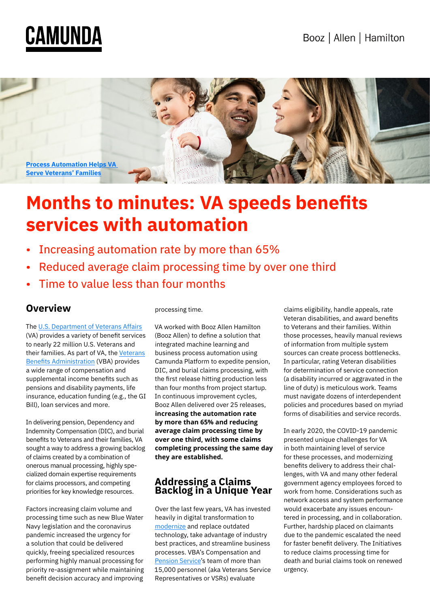



# **Months to minutes: VA speeds benefits services with automation**

- Increasing automation rate by more than 65%
- Reduced average claim processing time by over one third
- Time to value less than four months

# **Overview**

The [U.S. Department of Veteran](https://www.va.gov/)s Affairs (VA) provides a variety of benefit services to nearly 22 million U.S. Veterans and their families. As part of VA, the [Veterans](https://benefits.va.gov/benefits/)  [Benefits Administration](https://benefits.va.gov/benefits/) (VBA) provides a wide range of compensation and supplemental income benefits such as pensions and disability payments, life insurance, education funding (e.g., the GI Bill), loan services and more.

In delivering pension, Dependency and Indemnity Compensation (DIC), and burial benefits to Veterans and their families, VA sought a way to address a growing backlog of claims created by a combination of onerous manual processing, highly specialized domain expertise requirements for claims processors, and competing priorities for key knowledge resources.

Factors increasing claim volume and processing time such as new Blue Water Navy legislation and the coronavirus pandemic increased the urgency for a solution that could be delivered quickly, freeing specialized resources performing highly manual processing for priority re-assignment while maintaining benefit decision accuracy and improving

processing time.

VA worked with Booz Allen Hamilton (Booz Allen) to define a solution that integrated machine learning and business process automation using Camunda Platform to expedite pension, DIC, and burial claims processing, with the first release hitting production less than four months from project startup. In continuous improvement cycles, Booz Allen delivered over 25 releases, **increasing the automation rate by more than 65% and reducing average claim processing time by over one third, with some claims completing processing the same day they are established.** 

### **Addressing a Claims Backlog in a Unique Year**

Over the last few years, VA has invested heavily in digital transformation to [modernize](https://www.va.gov/modernization/) and replace outdated technology, take advantage of industry best practices, and streamline business processes. VBA's Compensation and [Pension Service](https://www.benefits.va.gov/pension/index.asp)'s team of more than 15,000 personnel (aka Veterans Service Representatives or VSRs) evaluate

claims eligibility, handle appeals, rate Veteran disabilities, and award benefits to Veterans and their families. Within those processes, heavily manual reviews of information from multiple system sources can create process bottlenecks. In particular, rating Veteran disabilities for determination of service connection (a disability incurred or aggravated in the line of duty) is meticulous work. Teams must navigate dozens of interdependent policies and procedures based on myriad forms of disabilities and service records.

In early 2020, the COVID-19 pandemic presented unique challenges for VA in both maintaining level of service for these processes, and modernizing benefits delivery to address their challenges, with VA and many other federal government agency employees forced to work from home. Considerations such as network access and system performance would exacerbate any issues encountered in processing, and in collaboration. Further, hardship placed on claimants due to the pandemic escalated the need for faster benefit delivery. The Initiatives to reduce claims processing time for death and burial claims took on renewed urgency.